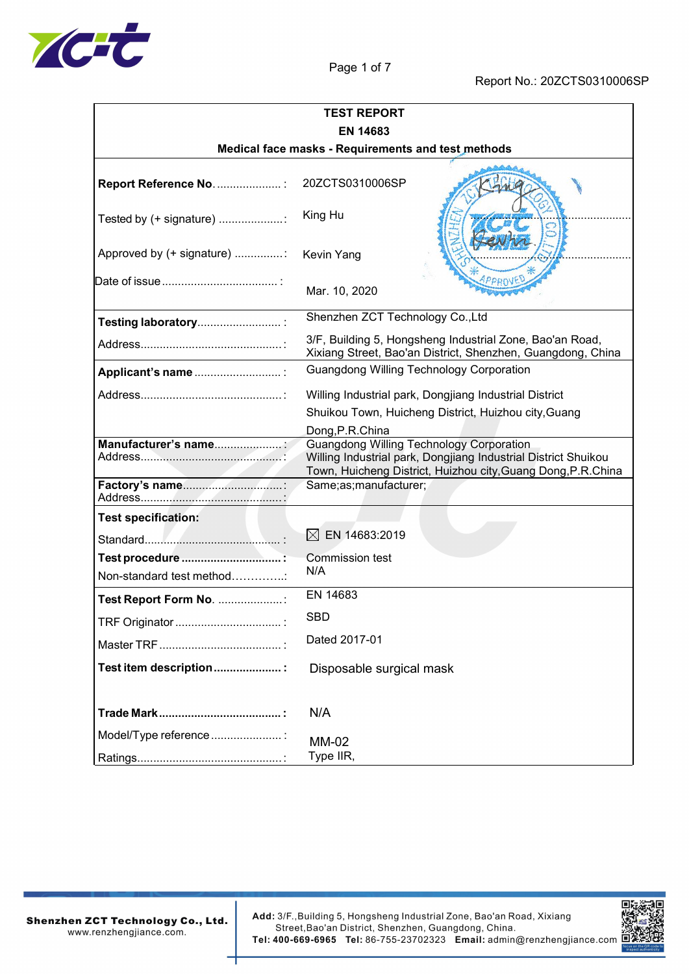

| <b>TEST REPORT</b>         |                                                                                                                                                                                    |  |  |  |
|----------------------------|------------------------------------------------------------------------------------------------------------------------------------------------------------------------------------|--|--|--|
| <b>EN 14683</b>            |                                                                                                                                                                                    |  |  |  |
|                            | Medical face masks - Requirements and test methods                                                                                                                                 |  |  |  |
|                            | 20ZCTS0310006SP                                                                                                                                                                    |  |  |  |
| Tested by (+ signature) :  | King Hu                                                                                                                                                                            |  |  |  |
| Approved by (+ signature)  | <b>Kevin Yang</b>                                                                                                                                                                  |  |  |  |
|                            | Mar. 10, 2020                                                                                                                                                                      |  |  |  |
| Testing laboratory         | Shenzhen ZCT Technology Co., Ltd                                                                                                                                                   |  |  |  |
|                            | 3/F, Building 5, Hongsheng Industrial Zone, Bao'an Road,<br>Xixiang Street, Bao'an District, Shenzhen, Guangdong, China                                                            |  |  |  |
| Applicant's name           | Guangdong Willing Technology Corporation                                                                                                                                           |  |  |  |
|                            | Willing Industrial park, Dongjiang Industrial District                                                                                                                             |  |  |  |
|                            | Shuikou Town, Huicheng District, Huizhou city, Guang                                                                                                                               |  |  |  |
|                            | Dong, P.R.China                                                                                                                                                                    |  |  |  |
|                            | <b>Guangdong Willing Technology Corporation</b><br>Willing Industrial park, Dongjiang Industrial District Shuikou<br>Town, Huicheng District, Huizhou city, Guang Dong, P.R. China |  |  |  |
|                            | Same;as;manufacturer;                                                                                                                                                              |  |  |  |
| <b>Test specification:</b> |                                                                                                                                                                                    |  |  |  |
|                            | $\times$<br>EN 14683:2019                                                                                                                                                          |  |  |  |
| Non-standard test method:  | Commission test<br>N/A                                                                                                                                                             |  |  |  |
| Test Report Form No. :     | EN 14683                                                                                                                                                                           |  |  |  |
|                            | <b>SBD</b>                                                                                                                                                                         |  |  |  |
|                            | Dated 2017-01                                                                                                                                                                      |  |  |  |
| Test item description:     | Disposable surgical mask                                                                                                                                                           |  |  |  |
|                            | N/A                                                                                                                                                                                |  |  |  |
| Model/Type reference :     | <b>MM-02</b><br>Type IIR,                                                                                                                                                          |  |  |  |

**Shenzhen ZCT Technology Co., Ltd.**<br>www.renzhengjiance.com.

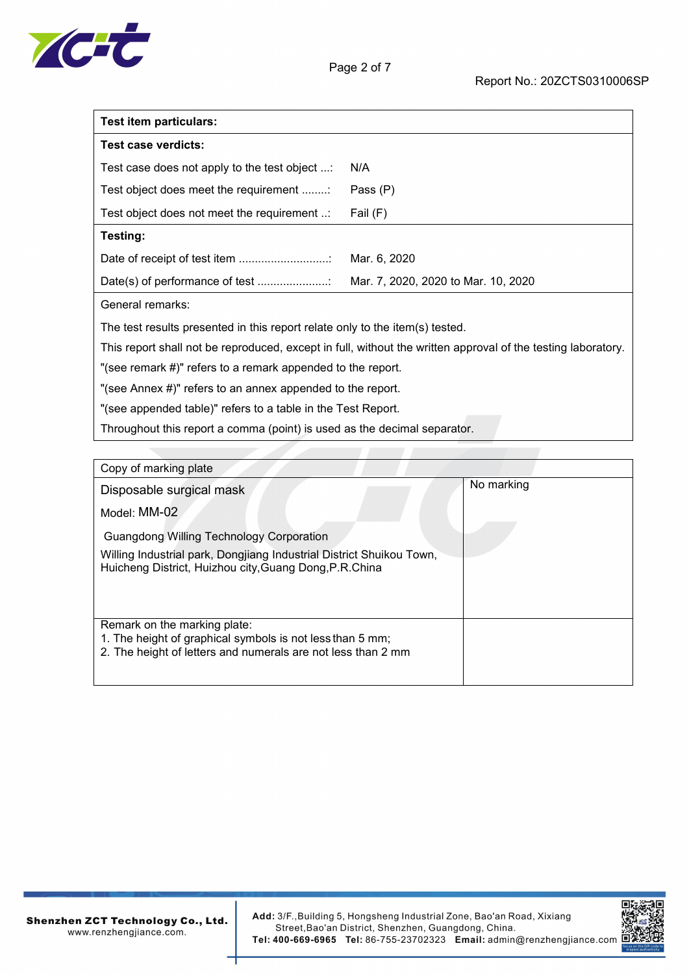

| <b>Test item particulars:</b>                                                |                                                                                                              |
|------------------------------------------------------------------------------|--------------------------------------------------------------------------------------------------------------|
| Test case verdicts:                                                          |                                                                                                              |
| Test case does not apply to the test object :                                | N/A                                                                                                          |
| Test object does meet the requirement                                        | Pass (P)                                                                                                     |
| Test object does not meet the requirement                                    | Fail (F)                                                                                                     |
| Testing:                                                                     |                                                                                                              |
|                                                                              | Mar. 6, 2020                                                                                                 |
|                                                                              | Mar. 7, 2020, 2020 to Mar. 10, 2020                                                                          |
| General remarks:                                                             |                                                                                                              |
| The test results presented in this report relate only to the item(s) tested. |                                                                                                              |
|                                                                              | This report shall not be reproduced, except in full, without the written approval of the testing laboratory. |

"(see remark #)" refers to a remark appended to the report.

"(see Annex #)" refers to an annex appended to the report.

"(see appended table)" refers to a table in the Test Report.

Throughout this report a comma (point) is used as the decimal separator.

| Copy of marking plate                                                                                                                                     |            |
|-----------------------------------------------------------------------------------------------------------------------------------------------------------|------------|
| Disposable surgical mask                                                                                                                                  | No marking |
| Model: MM-02                                                                                                                                              |            |
| <b>Guangdong Willing Technology Corporation</b>                                                                                                           |            |
| Willing Industrial park, Dongjiang Industrial District Shuikou Town,<br>Huicheng District, Huizhou city, Guang Dong, P.R.China                            |            |
| Remark on the marking plate:<br>1. The height of graphical symbols is not less than 5 mm;<br>2. The height of letters and numerals are not less than 2 mm |            |

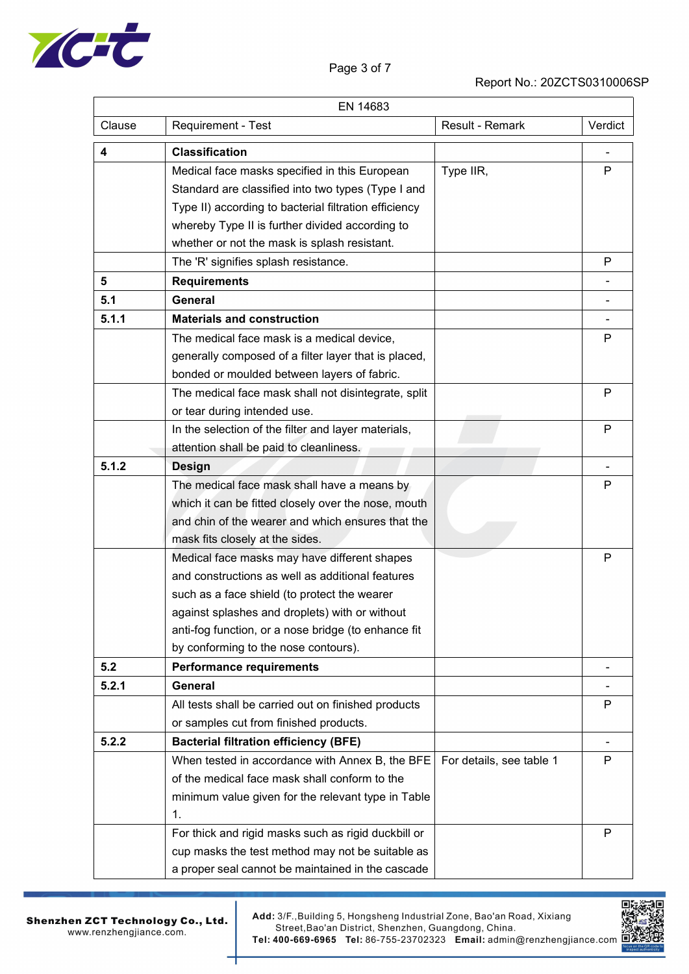

## Report No.: 20ZCTS0310006SP

|        | EN 14683                                              |                          |                          |
|--------|-------------------------------------------------------|--------------------------|--------------------------|
| Clause | Requirement - Test                                    | Result - Remark          | Verdict                  |
| 4      | <b>Classification</b>                                 |                          |                          |
|        | Medical face masks specified in this European         | Type IIR,                | P                        |
|        | Standard are classified into two types (Type I and    |                          |                          |
|        | Type II) according to bacterial filtration efficiency |                          |                          |
|        | whereby Type II is further divided according to       |                          |                          |
|        | whether or not the mask is splash resistant.          |                          |                          |
|        | The 'R' signifies splash resistance.                  |                          | P                        |
| 5      | <b>Requirements</b>                                   |                          |                          |
| 5.1    | General                                               |                          |                          |
| 5.1.1  | <b>Materials and construction</b>                     |                          | $\overline{\phantom{0}}$ |
|        | The medical face mask is a medical device,            |                          | P                        |
|        | generally composed of a filter layer that is placed,  |                          |                          |
|        | bonded or moulded between layers of fabric.           |                          |                          |
|        | The medical face mask shall not disintegrate, split   |                          | P                        |
|        | or tear during intended use.                          |                          |                          |
|        | In the selection of the filter and layer materials,   |                          | P                        |
|        | attention shall be paid to cleanliness.               |                          |                          |
| 5.1.2  | <b>Design</b>                                         |                          |                          |
|        | The medical face mask shall have a means by           |                          | P                        |
|        | which it can be fitted closely over the nose, mouth   |                          |                          |
|        | and chin of the wearer and which ensures that the     |                          |                          |
|        | mask fits closely at the sides.                       |                          |                          |
|        | Medical face masks may have different shapes          |                          | P                        |
|        | and constructions as well as additional features      |                          |                          |
|        | such as a face shield (to protect the wearer          |                          |                          |
|        | against splashes and droplets) with or without        |                          |                          |
|        | anti-fog function, or a nose bridge (to enhance fit   |                          |                          |
|        | by conforming to the nose contours).                  |                          |                          |
| 5.2    | <b>Performance requirements</b>                       |                          | $\overline{\phantom{0}}$ |
| 5.2.1  | <b>General</b>                                        |                          |                          |
|        | All tests shall be carried out on finished products   |                          | P                        |
|        | or samples cut from finished products.                |                          |                          |
| 5.2.2  | <b>Bacterial filtration efficiency (BFE)</b>          |                          | $\overline{\phantom{0}}$ |
|        | When tested in accordance with Annex B, the BFE       | For details, see table 1 | P                        |
|        | of the medical face mask shall conform to the         |                          |                          |
|        | minimum value given for the relevant type in Table    |                          |                          |
|        | 1.                                                    |                          |                          |
|        | For thick and rigid masks such as rigid duckbill or   |                          | P                        |
|        | cup masks the test method may not be suitable as      |                          |                          |
|        | a proper seal cannot be maintained in the cascade     |                          |                          |



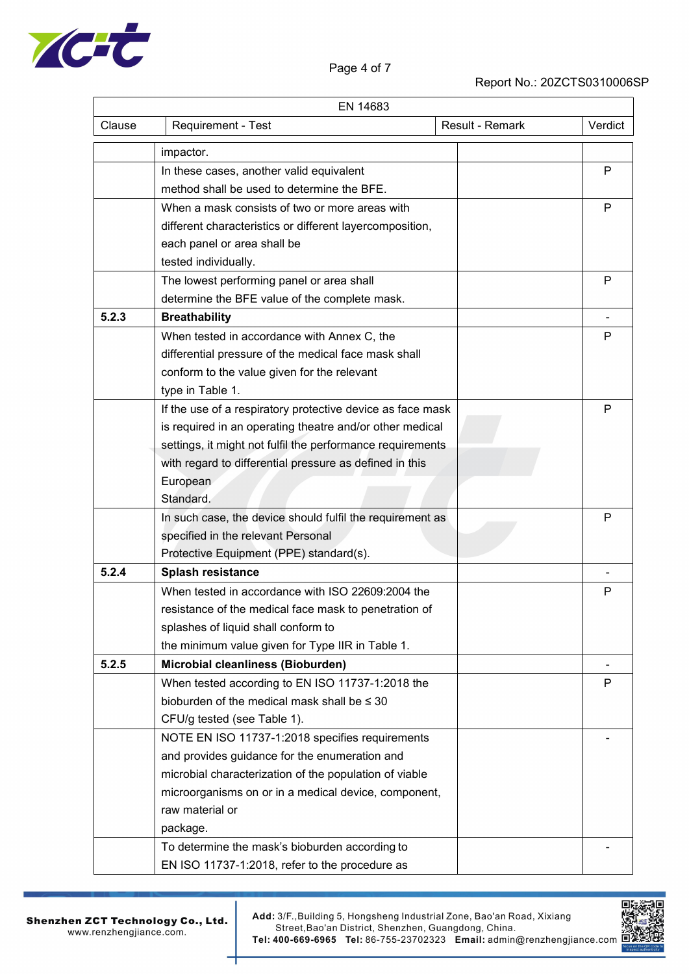

## Report No.: 20ZCTS0310006SP

|        | EN 14683                                                   |                 |              |
|--------|------------------------------------------------------------|-----------------|--------------|
| Clause | Requirement - Test                                         | Result - Remark | Verdict      |
|        | impactor.                                                  |                 |              |
|        | In these cases, another valid equivalent                   |                 | P            |
|        | method shall be used to determine the BFE.                 |                 |              |
|        | When a mask consists of two or more areas with             |                 | P            |
|        | different characteristics or different layercomposition,   |                 |              |
|        | each panel or area shall be                                |                 |              |
|        | tested individually.                                       |                 |              |
|        | The lowest performing panel or area shall                  |                 | P            |
|        | determine the BFE value of the complete mask.              |                 |              |
| 5.2.3  | <b>Breathability</b>                                       |                 |              |
|        | When tested in accordance with Annex C, the                |                 | P            |
|        | differential pressure of the medical face mask shall       |                 |              |
|        | conform to the value given for the relevant                |                 |              |
|        | type in Table 1.                                           |                 |              |
|        | If the use of a respiratory protective device as face mask |                 | $\mathsf{P}$ |
|        | is required in an operating theatre and/or other medical   |                 |              |
|        | settings, it might not fulfil the performance requirements |                 |              |
|        | with regard to differential pressure as defined in this    |                 |              |
|        | European                                                   |                 |              |
|        | Standard.                                                  |                 |              |
|        | In such case, the device should fulfil the requirement as  |                 | P            |
|        | specified in the relevant Personal                         |                 |              |
|        | Protective Equipment (PPE) standard(s).                    |                 |              |
| 5.2.4  | Splash resistance                                          |                 |              |
|        | When tested in accordance with ISO 22609:2004 the          |                 | $\mathsf{P}$ |
|        | resistance of the medical face mask to penetration of      |                 |              |
|        | splashes of liquid shall conform to                        |                 |              |
|        | the minimum value given for Type IIR in Table 1.           |                 |              |
| 5.2.5  | Microbial cleanliness (Bioburden)                          |                 |              |
|        | When tested according to EN ISO 11737-1:2018 the           |                 | P            |
|        | bioburden of the medical mask shall be $\leq 30$           |                 |              |
|        | CFU/g tested (see Table 1).                                |                 |              |
|        | NOTE EN ISO 11737-1:2018 specifies requirements            |                 |              |
|        | and provides guidance for the enumeration and              |                 |              |
|        | microbial characterization of the population of viable     |                 |              |
|        | microorganisms on or in a medical device, component,       |                 |              |
|        | raw material or                                            |                 |              |
|        | package.                                                   |                 |              |
|        | To determine the mask's bioburden according to             |                 |              |
|        | EN ISO 11737-1:2018, refer to the procedure as             |                 |              |

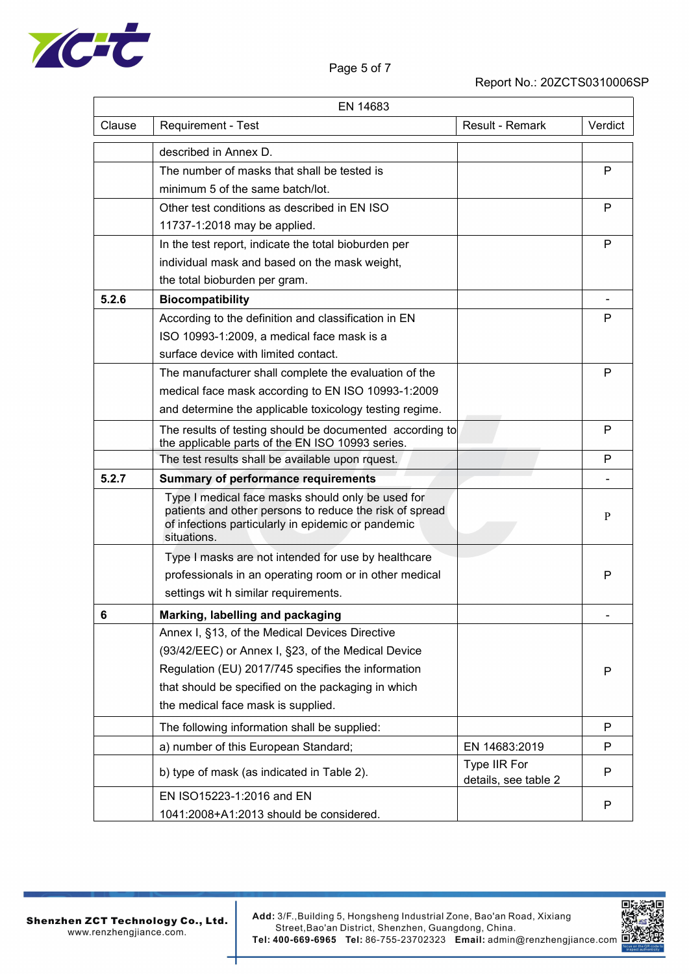

Report No.: 20ZCTS0310006SP

|        | EN 14683                                                                                                                                                                          |                                      |              |
|--------|-----------------------------------------------------------------------------------------------------------------------------------------------------------------------------------|--------------------------------------|--------------|
| Clause | Requirement - Test                                                                                                                                                                | Result - Remark                      | Verdict      |
|        | described in Annex D.                                                                                                                                                             |                                      |              |
|        | The number of masks that shall be tested is                                                                                                                                       |                                      | P            |
|        | minimum 5 of the same batch/lot.                                                                                                                                                  |                                      |              |
|        | Other test conditions as described in EN ISO                                                                                                                                      |                                      | $\mathsf{P}$ |
|        | 11737-1:2018 may be applied.                                                                                                                                                      |                                      |              |
|        | In the test report, indicate the total bioburden per                                                                                                                              |                                      | P            |
|        | individual mask and based on the mask weight,                                                                                                                                     |                                      |              |
|        | the total bioburden per gram.                                                                                                                                                     |                                      |              |
| 5.2.6  | <b>Biocompatibility</b>                                                                                                                                                           |                                      |              |
|        | According to the definition and classification in EN                                                                                                                              |                                      | P            |
|        | ISO 10993-1:2009, a medical face mask is a                                                                                                                                        |                                      |              |
|        | surface device with limited contact.                                                                                                                                              |                                      |              |
|        | The manufacturer shall complete the evaluation of the                                                                                                                             |                                      | P            |
|        | medical face mask according to EN ISO 10993-1:2009                                                                                                                                |                                      |              |
|        | and determine the applicable toxicology testing regime.                                                                                                                           |                                      |              |
|        | The results of testing should be documented according to<br>the applicable parts of the EN ISO 10993 series.                                                                      |                                      | P            |
|        | The test results shall be available upon rquest.                                                                                                                                  |                                      | P            |
| 5.2.7  | <b>Summary of performance requirements</b>                                                                                                                                        |                                      |              |
|        | Type I medical face masks should only be used for<br>patients and other persons to reduce the risk of spread<br>of infections particularly in epidemic or pandemic<br>situations. |                                      | P            |
|        | Type I masks are not intended for use by healthcare                                                                                                                               |                                      |              |
|        | professionals in an operating room or in other medical                                                                                                                            |                                      | P            |
|        | settings wit h similar requirements.                                                                                                                                              |                                      |              |
| 6      | Marking, labelling and packaging                                                                                                                                                  |                                      |              |
|        | Annex I, §13, of the Medical Devices Directive                                                                                                                                    |                                      |              |
|        | (93/42/EEC) or Annex I, §23, of the Medical Device                                                                                                                                |                                      |              |
|        | Regulation (EU) 2017/745 specifies the information                                                                                                                                |                                      | P            |
|        | that should be specified on the packaging in which                                                                                                                                |                                      |              |
|        | the medical face mask is supplied.                                                                                                                                                |                                      |              |
|        | The following information shall be supplied:                                                                                                                                      |                                      | P            |
|        | a) number of this European Standard;                                                                                                                                              | EN 14683:2019                        | P            |
|        | b) type of mask (as indicated in Table 2).                                                                                                                                        | Type IIR For<br>details, see table 2 | $\mathsf{P}$ |
|        | EN ISO15223-1:2016 and EN                                                                                                                                                         |                                      | $\sf P$      |
|        | 1041:2008+A1:2013 should be considered.                                                                                                                                           |                                      |              |

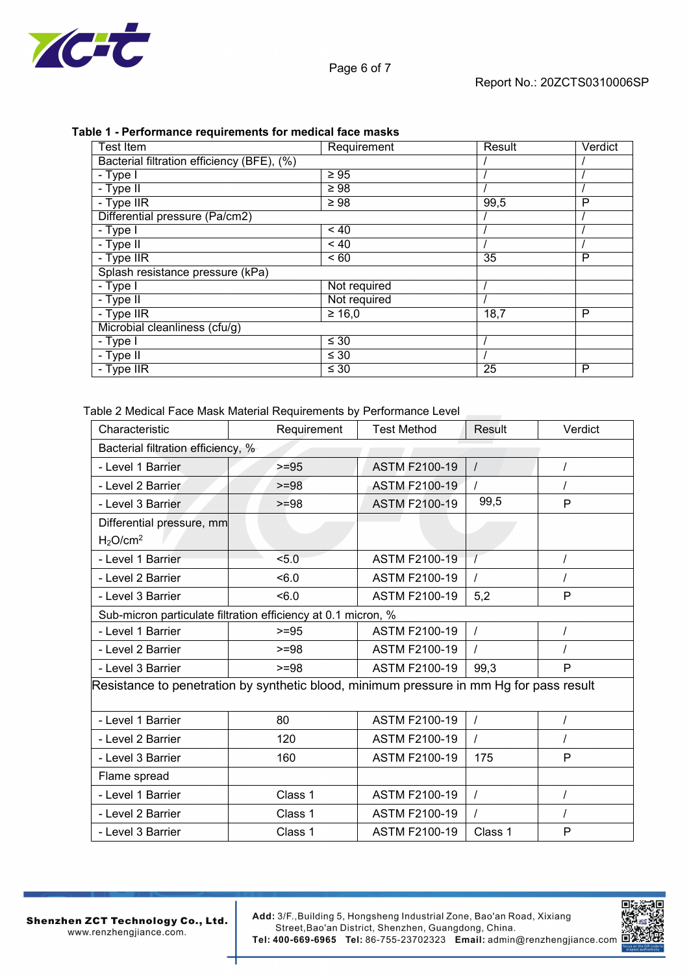

| Table 1 - Performance requirements for medical face masks |  |
|-----------------------------------------------------------|--|
|-----------------------------------------------------------|--|

| <b>Test Item</b>                           | Requirement     | Result | Verdict |
|--------------------------------------------|-----------------|--------|---------|
| Bacterial filtration efficiency (BFE), (%) |                 |        |         |
| - Type I                                   | $\geq 95$       |        |         |
| - Type II                                  | $\geq 98$       |        |         |
| - Type IIR                                 | $\geq 98$       | 99,5   | P       |
| Differential pressure (Pa/cm2)             |                 |        |         |
| - Type I                                   | $~<$ 40         |        |         |
| - Type II                                  | $~<$ 40         |        |         |
| - Type IIR                                 | $\overline{60}$ | 35     | P       |
| Splash resistance pressure (kPa)           |                 |        |         |
| - Type I                                   | Not required    |        |         |
| - Type II                                  | Not required    |        |         |
| - Type IIR                                 | $\geq 16,0$     | 18,7   | P       |
| Microbial cleanliness (cfu/g)              |                 |        |         |
| - Type I                                   | $\leq 30$       |        |         |
| - Type II                                  | $\leq 30$       |        |         |
| - Type IIR                                 | $\leq 30$       | 25     | P       |

Table 2 Medical Face Mask Material Requirements by Performance Level

| Characteristic                                                                          | Requirement                                                   | <b>Test Method</b>   | Result   | Verdict  |  |
|-----------------------------------------------------------------------------------------|---------------------------------------------------------------|----------------------|----------|----------|--|
| Bacterial filtration efficiency, %                                                      |                                                               |                      |          |          |  |
| - Level 1 Barrier                                                                       | $>=95$                                                        | <b>ASTM F2100-19</b> | $\prime$ |          |  |
| - Level 2 Barrier                                                                       | $>= 98$                                                       | <b>ASTM F2100-19</b> |          |          |  |
| - Level 3 Barrier                                                                       | $>= 98$                                                       | <b>ASTM F2100-19</b> | 99,5     | P        |  |
| Differential pressure, mm                                                               |                                                               |                      |          |          |  |
| H <sub>2</sub> O/cm <sup>2</sup>                                                        |                                                               |                      |          |          |  |
| - Level 1 Barrier                                                                       | 5.0                                                           | <b>ASTM F2100-19</b> |          | $\prime$ |  |
| - Level 2 Barrier                                                                       | $5 - 6.0$                                                     | <b>ASTM F2100-19</b> |          |          |  |
| - Level 3 Barrier                                                                       | $5 - 6.0$                                                     | <b>ASTM F2100-19</b> | 5,2      | P        |  |
|                                                                                         | Sub-micron particulate filtration efficiency at 0.1 micron, % |                      |          |          |  |
| - Level 1 Barrier                                                                       | $>= 95$                                                       | <b>ASTM F2100-19</b> | $\prime$ |          |  |
| - Level 2 Barrier                                                                       | $>= 98$                                                       | <b>ASTM F2100-19</b> |          |          |  |
| - Level 3 Barrier                                                                       | $>=98$                                                        | <b>ASTM F2100-19</b> | 99,3     | P        |  |
| Resistance to penetration by synthetic blood, minimum pressure in mm Hg for pass result |                                                               |                      |          |          |  |
|                                                                                         |                                                               |                      |          |          |  |
| - Level 1 Barrier                                                                       | 80                                                            | <b>ASTM F2100-19</b> | $\prime$ |          |  |
| - Level 2 Barrier                                                                       | 120                                                           | <b>ASTM F2100-19</b> |          |          |  |
| - Level 3 Barrier                                                                       | 160                                                           | <b>ASTM F2100-19</b> | 175      | P        |  |
| Flame spread                                                                            |                                                               |                      |          |          |  |
| - Level 1 Barrier                                                                       | Class 1                                                       | <b>ASTM F2100-19</b> | $\prime$ |          |  |
| - Level 2 Barrier                                                                       | Class 1                                                       | <b>ASTM F2100-19</b> |          |          |  |
| - Level 3 Barrier                                                                       | Class 1                                                       | <b>ASTM F2100-19</b> | Class 1  | P        |  |

Shenzhen ZCT Technology Co., Ltd. www.renzhengjiance.com.

Add: 3/F., Building 5, Hongsheng Industrial Zone, Bao'an Road, Xixiang<br>Street, Bao'an District, Shenzhen, Guangdong, China. Tel: 400-669-6965 Tel: 86-755-23702323 Email: admin@renzhengjiance.com